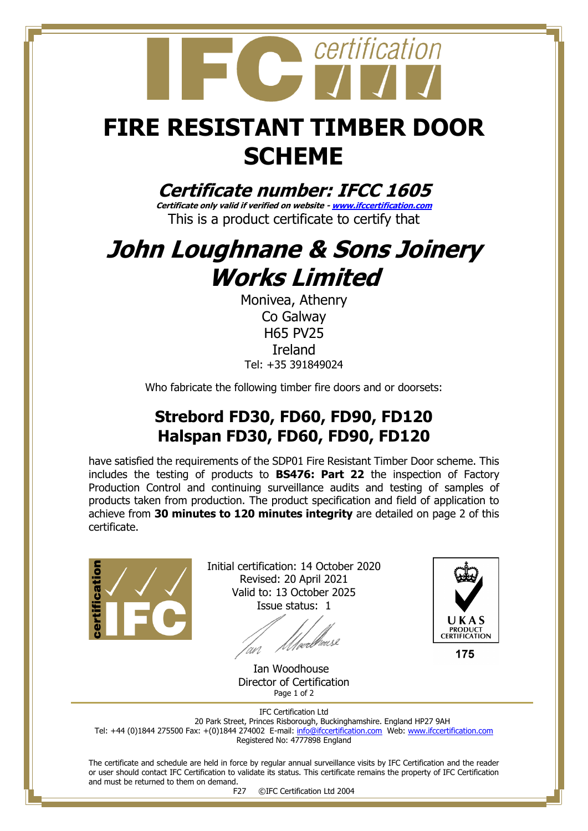

## **FIRE RESISTANT TIMBER DOOR SCHEME**

**Certificate number: IFCC 1605**

**Certificate only valid if verified on website - [www.ifccertification.com](http://www.ifccertification.com/)** This is a product certificate to certify that

## **John Loughnane & Sons Joinery Works Limited**

Monivea, Athenry Co Galway H65 PV25 Ireland Tel: +35 391849024

Who fabricate the following timber fire doors and or doorsets:

### **Strebord FD30, FD60, FD90, FD120 Halspan FD30, FD60, FD90, FD120**

have satisfied the requirements of the SDP01 Fire Resistant Timber Door scheme. This includes the testing of products to **BS476: Part 22** the inspection of Factory Production Control and continuing surveillance audits and testing of samples of products taken from production. The product specification and field of application to achieve from **30 minutes to 120 minutes integrity** are detailed on page 2 of this certificate.



Initial certification: 14 October 2020 Revised: 20 April 2021 Valid to: 13 October 2025 Issue status: 1



175

 Ian Woodhouse Director of Certification Page 1 of 2

IFC Certification Ltd 20 Park Street, Princes Risborough, Buckinghamshire. England HP27 9AH Tel: +44 (0)1844 275500 Fax: +(0)1844 274002 E-mail[: info@ifccertification.com](mailto:info@ifccertification.com) Web: [www.ifccertification.com](http://www.ifccertification.com/) Registered No: 4777898 England

The certificate and schedule are held in force by regular annual surveillance visits by IFC Certification and the reader or user should contact IFC Certification to validate its status. This certificate remains the property of IFC Certification and must be returned to them on demand.

F27 ©IFC Certification Ltd 2004